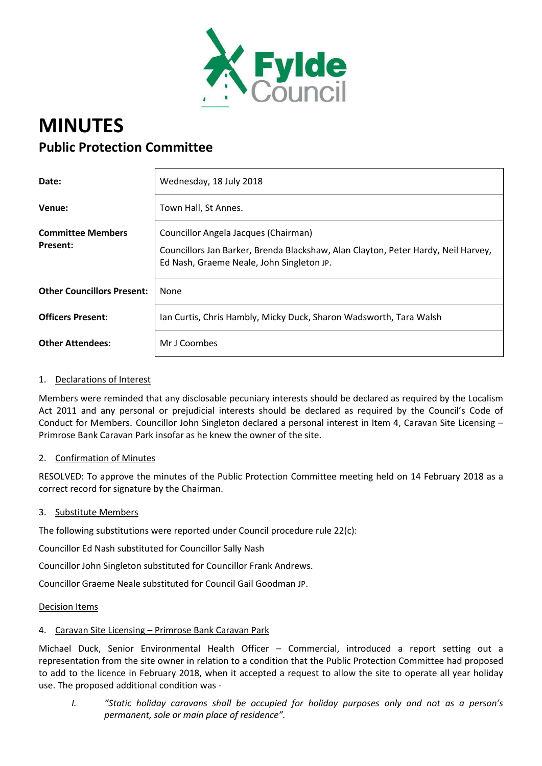

# **MINUTES Public Protection Committee**

| Date:                             | Wednesday, 18 July 2018                                                                                                        |
|-----------------------------------|--------------------------------------------------------------------------------------------------------------------------------|
| Venue:                            | Town Hall, St Annes.                                                                                                           |
| <b>Committee Members</b>          | Councillor Angela Jacques (Chairman)                                                                                           |
| <b>Present:</b>                   | Councillors Jan Barker, Brenda Blackshaw, Alan Clayton, Peter Hardy, Neil Harvey,<br>Ed Nash, Graeme Neale, John Singleton JP. |
| <b>Other Councillors Present:</b> | None                                                                                                                           |
| <b>Officers Present:</b>          | Ian Curtis, Chris Hambly, Micky Duck, Sharon Wadsworth, Tara Walsh                                                             |
| <b>Other Attendees:</b>           | Mr J Coombes                                                                                                                   |

# 1. Declarations of Interest

Members were reminded that any disclosable pecuniary interests should be declared as required by the Localism Act 2011 and any personal or prejudicial interests should be declared as required by the Council's Code of Conduct for Members. Councillor John Singleton declared a personal interest in Item 4, Caravan Site Licensing -Primrose Bank Caravan Park insofar as he knew the owner of the site.

#### 2. Confirmation of Minutes

RESOLVED: To approve the minutes of the Public Protection Committee meeting held on 14 February 2018 as a correct record for signature by the Chairman.

#### 3. Substitute Members

The following substitutions were reported under Council procedure rule 22(c):

Councillor Ed Nash substituted for Councillor Sally Nash

Councillor John Singleton substituted for Councillor Frank Andrews.

Councillor Graeme Neale substituted for Council Gail Goodman JP.

#### **Decision Items**

#### 4. Caravan Site Licensing - Primrose Bank Caravan Park

Michael Duck, Senior Environmental Health Officer - Commercial, introduced a report setting out a representation from the site owner in relation to a condition that the Public Protection Committee had proposed to add to the licence in February 2018, when it accepted a request to allow the site to operate all year holiday use. The proposed additional condition was -

 $\mathbf{L}$ "Static holiday caravans shall be occupied for holiday purposes only and not as a person's permanent, sole or main place of residence".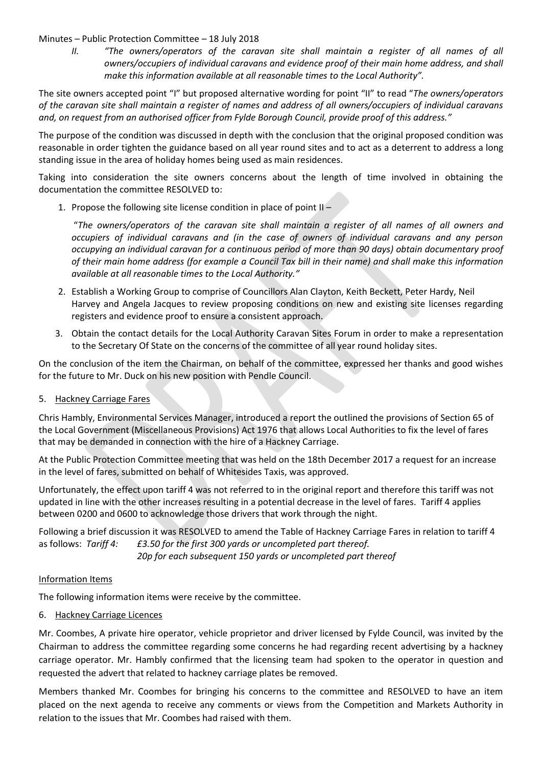### Minutes – Public Protection Committee – 18 July 2018

*II. <i>The owners/operators of the caravan site shall maintain a register of all names of all owners/occupiers of individual caravans and evidence proof of their main home address, and shall make this information available at all reasonable times to the Local Authority".* 

The site owners accepted point "I" but proposed alternative wording for point "II" to read "The owners/operators *of the caravan site shall maintain a register of names and address of all owners/occupiers of individual caravans and, on request from an authorised officer from Fylde Borough Council, provide proof of this address.͟*

The purpose of the condition was discussed in depth with the conclusion that the original proposed condition was reasonable in order tighten the guidance based on all year round sites and to act as a deterrent to address a long standing issue in the area of holiday homes being used as main residences.

Taking into consideration the site owners concerns about the length of time involved in obtaining the documentation the committee RESOLVED to:

1. Propose the following site license condition in place of point II –

͞*The owners/operators of the caravan site shall maintain a register of all names of all owners and occupiers of individual caravans and (in the case of owners of individual caravans and any person occupying an individual caravan for a continuous period of more than 90 days) obtain documentary proof of their main home address (for example a Council Tax bill in their name) and shall make this information available at all reasonable times to the Local Authority.͟*

- 2. Establish a Working Group to comprise of Councillors Alan Clayton, Keith Beckett, Peter Hardy, Neil Harvey and Angela Jacques to review proposing conditions on new and existing site licenses regarding registers and evidence proof to ensure a consistent approach.
- 3. Obtain the contact details for the Local Authority Caravan Sites Forum in order to make a representation to the Secretary Of State on the concerns of the committee of all year round holiday sites.

On the conclusion of the item the Chairman, on behalf of the committee, expressed her thanks and good wishes for the future to Mr. Duck on his new position with Pendle Council.

5. Hackney Carriage Fares

Chris Hambly, Environmental Services Manager, introduced a report the outlined the provisions of Section 65 of the Local Government (Miscellaneous Provisions) Act 1976 that allows Local Authorities to fix the level of fares that may be demanded in connection with the hire of a Hackney Carriage.

At the Public Protection Committee meeting that was held on the 18th December 2017 a request for an increase in the level of fares, submitted on behalf of Whitesides Taxis, was approved.

Unfortunately, the effect upon tariff 4 was not referred to in the original report and therefore this tariff was not updated in line with the other increases resulting in a potential decrease in the level of fares. Tariff 4 applies between 0200 and 0600 to acknowledge those drivers that work through the night.

Following a brief discussion it was RESOLVED to amend the Table of Hackney Carriage Fares in relation to tariff 4 as follows: *Tariff 4: £3.50 for the first 300 yards or uncompleted part thereof. 20p for each subsequent 150 yards or uncompleted part thereof* 

# Information Items

The following information items were receive by the committee.

6. Hackney Carriage Licences

Mr. Coombes, A private hire operator, vehicle proprietor and driver licensed by Fylde Council, was invited by the Chairman to address the committee regarding some concerns he had regarding recent advertising by a hackney carriage operator. Mr. Hambly confirmed that the licensing team had spoken to the operator in question and requested the advert that related to hackney carriage plates be removed.

Members thanked Mr. Coombes for bringing his concerns to the committee and RESOLVED to have an item placed on the next agenda to receive any comments or views from the Competition and Markets Authority in relation to the issues that Mr. Coombes had raised with them.